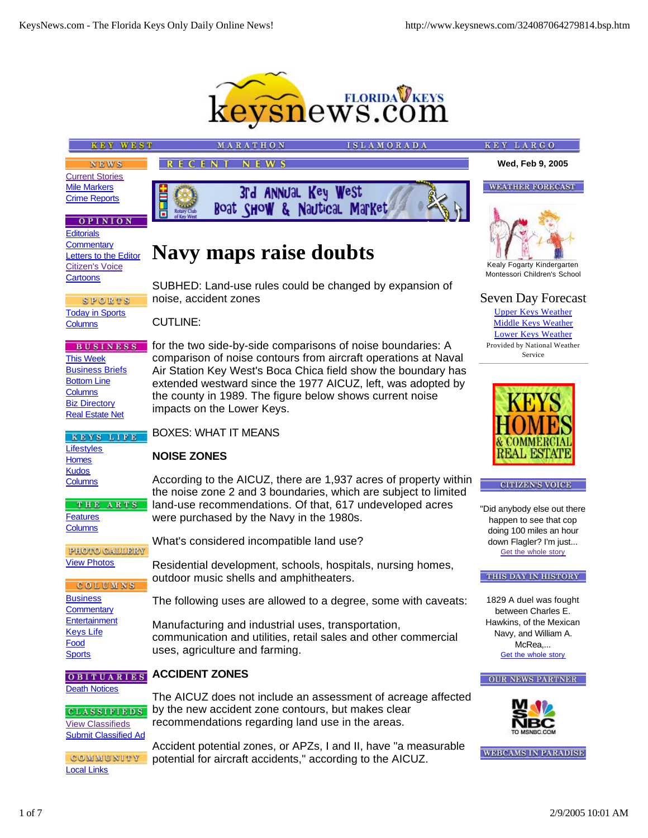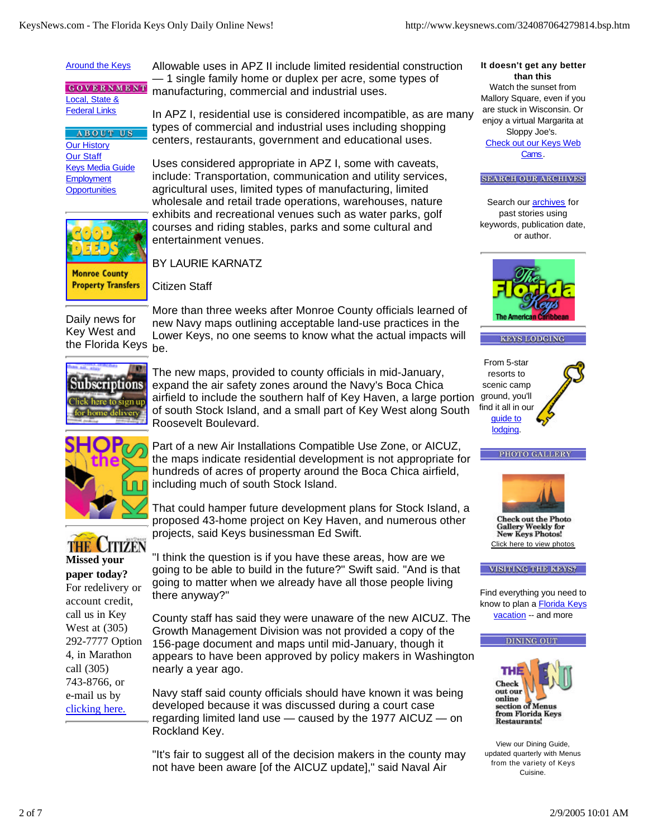#### Around the Keys

**GOVERNMENT** Local, State & **Federal Links** 

**ABOUT US** Our History Our Staff Keys Media Guide **Employment Opportunities** 



**Monroe County Property Transfers**  Allowable uses in APZ II include limited residential construction — 1 single family home or duplex per acre, some types of manufacturing, commercial and industrial uses.

In APZ I, residential use is considered incompatible, as are many types of commercial and industrial uses including shopping centers, restaurants, government and educational uses.

Uses considered appropriate in APZ I, some with caveats, include: Transportation, communication and utility services, agricultural uses, limited types of manufacturing, limited wholesale and retail trade operations, warehouses, nature exhibits and recreational venues such as water parks, golf courses and riding stables, parks and some cultural and entertainment venues.

BY LAURIE KARNATZ

Citizen Staff

Daily news for Key West and the Florida Keys

More than three weeks after Monroe County officials learned of new Navy maps outlining acceptable land-use practices in the Lower Keys, no one seems to know what the actual impacts will be.



The new maps, provided to county officials in mid-January, expand the air safety zones around the Navy's Boca Chica airfield to include the southern half of Key Haven, a large portion of south Stock Island, and a small part of Key West along South Roosevelt Boulevard.



Part of a new Air Installations Compatible Use Zone, or AICUZ, the maps indicate residential development is not appropriate for hundreds of acres of property around the Boca Chica airfield, including much of south Stock Island.

That could hamper future development plans for Stock Island, a proposed 43-home project on Key Haven, and numerous other projects, said Keys businessman Ed Swift.



**Missed your paper today?** For redelivery or account credit, call us in Key West at (305) 292-7777 Option 4, in Marathon call (305) 743-8766, or e-mail us by clicking here.

"I think the question is if you have these areas, how are we going to be able to build in the future?" Swift said. "And is that going to matter when we already have all those people living there anyway?"

County staff has said they were unaware of the new AICUZ. The Growth Management Division was not provided a copy of the 156-page document and maps until mid-January, though it appears to have been approved by policy makers in Washington nearly a year ago.

Navy staff said county officials should have known it was being developed because it was discussed during a court case regarding limited land use — caused by the 1977 AICUZ — on Rockland Key.

"It's fair to suggest all of the decision makers in the county may not have been aware [of the AICUZ update]," said Naval Air

#### **It doesn't get any better than this**

Watch the sunset from Mallory Square, even if you are stuck in Wisconsin. Or enjoy a virtual Margarita at Sloppy Joe's. Check out our Keys Web Cams.

#### **SEARCH OUR ARCHIVES**

Search our **archives** for past stories using keywords, publication date, or author.











**Check out the Photo Gallery Weekly for New Keys Photos!** Click here to view photos

**VISITING THE KEYS?** 

Find everything you need to know to plan a Florida Keys vacation -- and more





View our Dining Guide, updated quarterly with Menus from the variety of Keys Cuisine.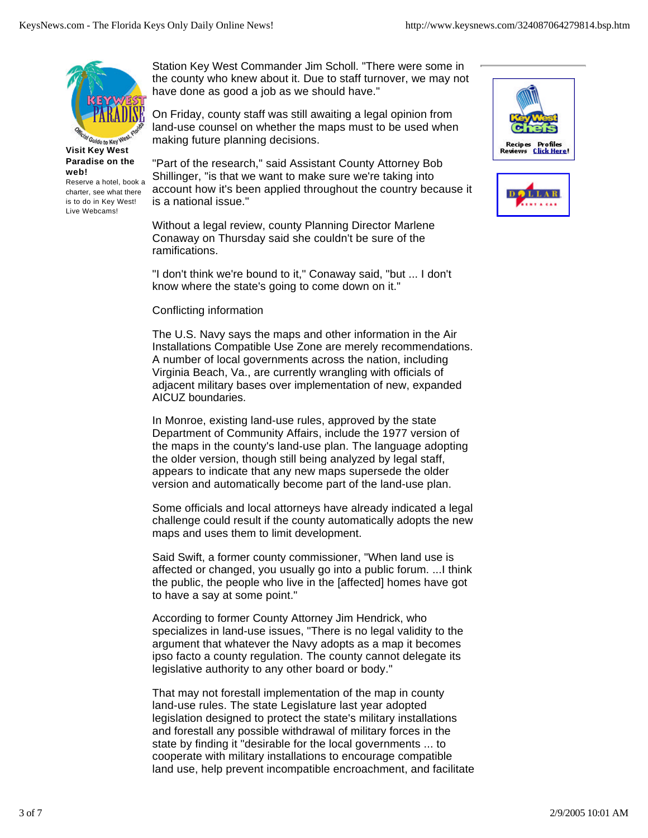

**Visit Key West Paradise on the web!**

Reserve a hotel, book a charter, see what there is to do in Key West! Live Webcams!

Station Key West Commander Jim Scholl. "There were some in the county who knew about it. Due to staff turnover, we may not have done as good a job as we should have."

On Friday, county staff was still awaiting a legal opinion from land-use counsel on whether the maps must to be used when making future planning decisions.

"Part of the research," said Assistant County Attorney Bob Shillinger, "is that we want to make sure we're taking into account how it's been applied throughout the country because it is a national issue."

Without a legal review, county Planning Director Marlene Conaway on Thursday said she couldn't be sure of the ramifications.

"I don't think we're bound to it," Conaway said, "but ... I don't know where the state's going to come down on it."

## Conflicting information

The U.S. Navy says the maps and other information in the Air Installations Compatible Use Zone are merely recommendations. A number of local governments across the nation, including Virginia Beach, Va., are currently wrangling with officials of adjacent military bases over implementation of new, expanded AICUZ boundaries.

In Monroe, existing land-use rules, approved by the state Department of Community Affairs, include the 1977 version of the maps in the county's land-use plan. The language adopting the older version, though still being analyzed by legal staff, appears to indicate that any new maps supersede the older version and automatically become part of the land-use plan.

Some officials and local attorneys have already indicated a legal challenge could result if the county automatically adopts the new maps and uses them to limit development.

Said Swift, a former county commissioner, "When land use is affected or changed, you usually go into a public forum. ...I think the public, the people who live in the [affected] homes have got to have a say at some point."

According to former County Attorney Jim Hendrick, who specializes in land-use issues, "There is no legal validity to the argument that whatever the Navy adopts as a map it becomes ipso facto a county regulation. The county cannot delegate its legislative authority to any other board or body."

That may not forestall implementation of the map in county land-use rules. The state Legislature last year adopted legislation designed to protect the state's military installations and forestall any possible withdrawal of military forces in the state by finding it "desirable for the local governments ... to cooperate with military installations to encourage compatible land use, help prevent incompatible encroachment, and facilitate



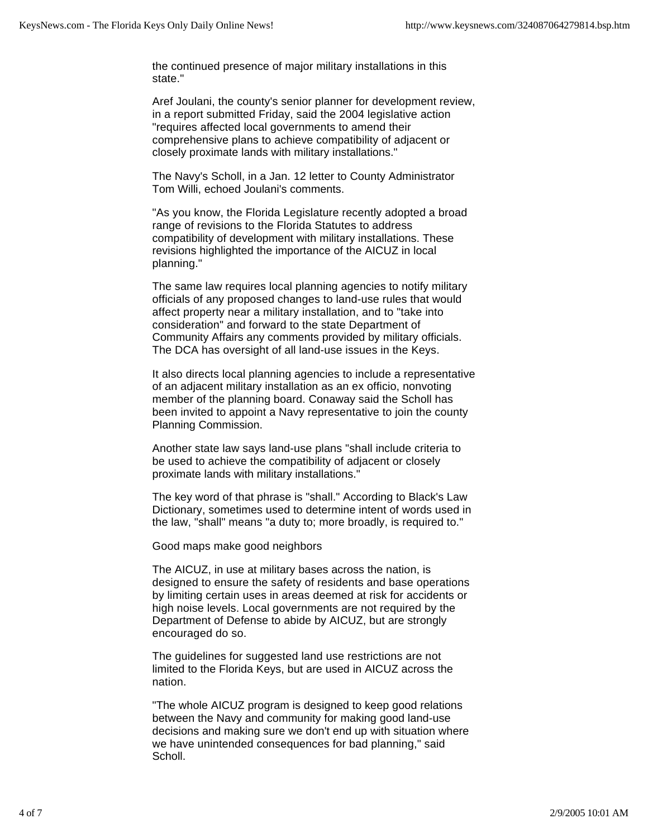the continued presence of major military installations in this state."

Aref Joulani, the county's senior planner for development review, in a report submitted Friday, said the 2004 legislative action "requires affected local governments to amend their comprehensive plans to achieve compatibility of adjacent or closely proximate lands with military installations."

The Navy's Scholl, in a Jan. 12 letter to County Administrator Tom Willi, echoed Joulani's comments.

"As you know, the Florida Legislature recently adopted a broad range of revisions to the Florida Statutes to address compatibility of development with military installations. These revisions highlighted the importance of the AICUZ in local planning."

The same law requires local planning agencies to notify military officials of any proposed changes to land-use rules that would affect property near a military installation, and to "take into consideration" and forward to the state Department of Community Affairs any comments provided by military officials. The DCA has oversight of all land-use issues in the Keys.

It also directs local planning agencies to include a representative of an adjacent military installation as an ex officio, nonvoting member of the planning board. Conaway said the Scholl has been invited to appoint a Navy representative to join the county Planning Commission.

Another state law says land-use plans "shall include criteria to be used to achieve the compatibility of adjacent or closely proximate lands with military installations."

The key word of that phrase is "shall." According to Black's Law Dictionary, sometimes used to determine intent of words used in the law, "shall" means "a duty to; more broadly, is required to."

Good maps make good neighbors

The AICUZ, in use at military bases across the nation, is designed to ensure the safety of residents and base operations by limiting certain uses in areas deemed at risk for accidents or high noise levels. Local governments are not required by the Department of Defense to abide by AICUZ, but are strongly encouraged do so.

The guidelines for suggested land use restrictions are not limited to the Florida Keys, but are used in AICUZ across the nation.

"The whole AICUZ program is designed to keep good relations between the Navy and community for making good land-use decisions and making sure we don't end up with situation where we have unintended consequences for bad planning," said Scholl.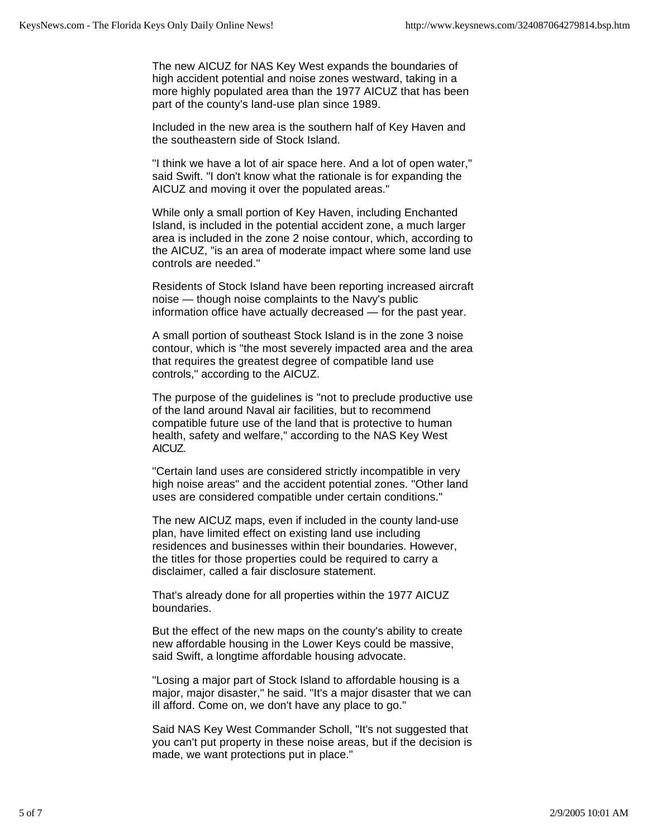The new AICUZ for NAS Key West expands the boundaries of high accident potential and noise zones westward, taking in a more highly populated area than the 1977 AICUZ that has been part of the county's land-use plan since 1989.

Included in the new area is the southern half of Key Haven and the southeastern side of Stock Island.

"I think we have a lot of air space here. And a lot of open water," said Swift. "I don't know what the rationale is for expanding the AICUZ and moving it over the populated areas."

While only a small portion of Key Haven, including Enchanted Island, is included in the potential accident zone, a much larger area is included in the zone 2 noise contour, which, according to the AICUZ, "is an area of moderate impact where some land use controls are needed."

Residents of Stock Island have been reporting increased aircraft noise — though noise complaints to the Navy's public information office have actually decreased — for the past year.

A small portion of southeast Stock Island is in the zone 3 noise contour, which is "the most severely impacted area and the area that requires the greatest degree of compatible land use controls," according to the AICUZ.

The purpose of the guidelines is "not to preclude productive use of the land around Naval air facilities, but to recommend compatible future use of the land that is protective to human health, safety and welfare," according to the NAS Key West AICUZ.

"Certain land uses are considered strictly incompatible in very high noise areas" and the accident potential zones. "Other land uses are considered compatible under certain conditions."

The new AICUZ maps, even if included in the county land-use plan, have limited effect on existing land use including residences and businesses within their boundaries. However, the titles for those properties could be required to carry a disclaimer, called a fair disclosure statement.

That's already done for all properties within the 1977 AICUZ boundaries.

But the effect of the new maps on the county's ability to create new affordable housing in the Lower Keys could be massive, said Swift, a longtime affordable housing advocate.

"Losing a major part of Stock Island to affordable housing is a major, major disaster," he said. "It's a major disaster that we can ill afford. Come on, we don't have any place to go."

Said NAS Key West Commander Scholl, "It's not suggested that you can't put property in these noise areas, but if the decision is made, we want protections put in place."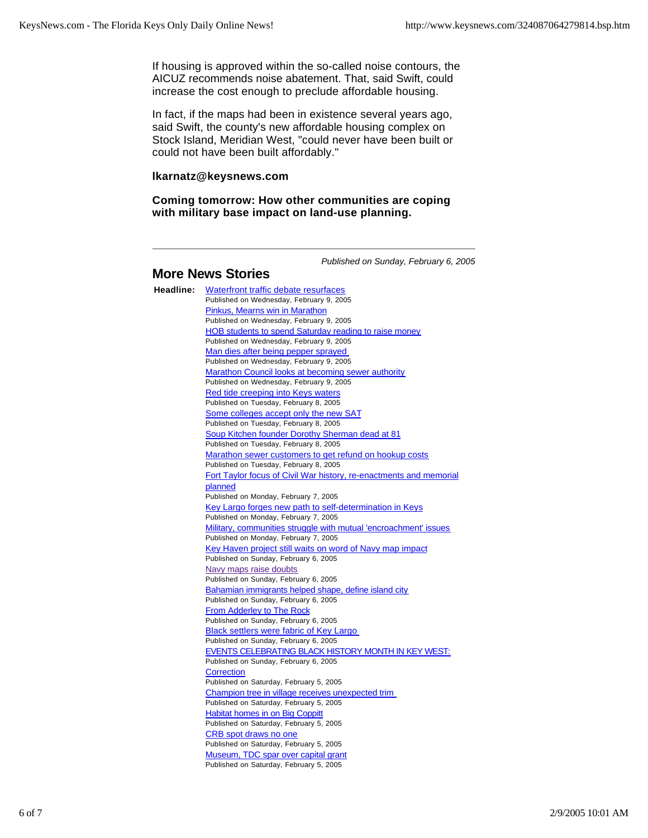If housing is approved within the so-called noise contours, the AICUZ recommends noise abatement. That, said Swift, could increase the cost enough to preclude affordable housing.

In fact, if the maps had been in existence several years ago, said Swift, the county's new affordable housing complex on Stock Island, Meridian West, "could never have been built or could not have been built affordably."

## **lkarnatz@keysnews.com**

**Coming tomorrow: How other communities are coping with military base impact on land-use planning.**

*Published on Sunday, February 6, 2005*

# **More News Stories**

**Headline:** Waterfront traffic debate resurfaces Published on Wednesday, February 9, 2005 Pinkus, Mearns win in Marathon Published on Wednesday, February 9, 2005 HOB students to spend Saturday reading to raise money Published on Wednesday, February 9, 2005 Man dies after being pepper sprayed Published on Wednesday, February 9, 2005 Marathon Council looks at becoming sewer authority Published on Wednesday, February 9, 2005 Red tide creeping into Keys waters Published on Tuesday, February 8, 2005 Some colleges accept only the new SAT Published on Tuesday, February 8, 2005 Soup Kitchen founder Dorothy Sherman dead at 81 Published on Tuesday, February 8, 2005 Marathon sewer customers to get refund on hookup costs Published on Tuesday, February 8, 2005 Fort Taylor focus of Civil War history, re-enactments and memorial planned Published on Monday, February 7, 2005 Key Largo forges new path to self-determination in Keys Published on Monday, February 7, 2005 Military, communities struggle with mutual 'encroachment' issues Published on Monday, February 7, 2005 Key Haven project still waits on word of Navy map impact Published on Sunday, February 6, 2005 Navy maps raise doubts Published on Sunday, February 6, 2005 Bahamian immigrants helped shape, define island city Published on Sunday, February 6, 2005 **From Adderley to The Rock** Published on Sunday, February 6, 2005 Black settlers were fabric of Key Largo Published on Sunday, February 6, 2005 EVENTS CELEBRATING BLACK HISTORY MONTH IN KEY WEST: Published on Sunday, February 6, 2005 **Correction** Published on Saturday, February 5, 2005 Champion tree in village receives unexpected trim Published on Saturday, February 5, 2005 **Habitat homes in on Big Coppitt** Published on Saturday, February 5, 2005 CRB spot draws no one Published on Saturday, February 5, 2005 Museum, TDC spar over capital grant Published on Saturday, February 5, 2005